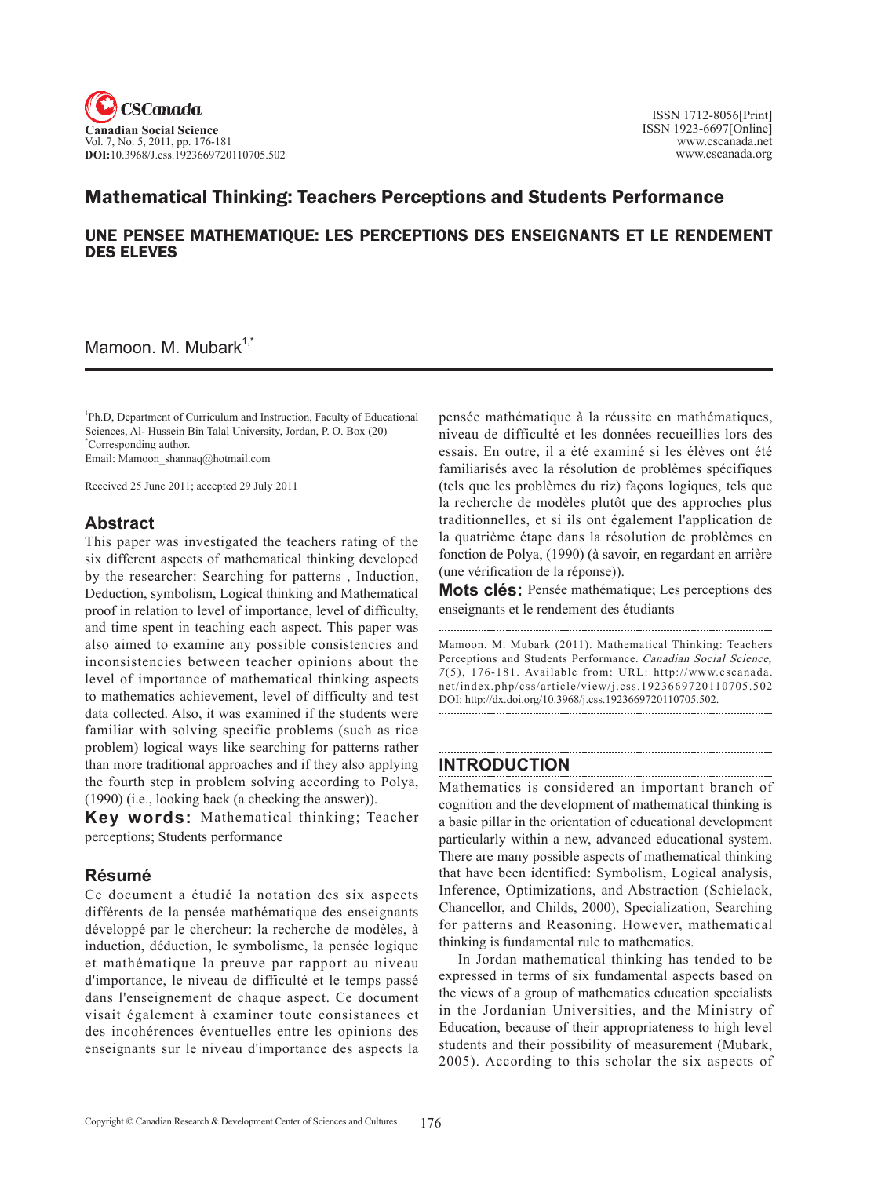

# Mathematical Thinking: Teachers Perceptions and Students Performance

## UNE PENSEE MATHEMATIQUE: LES PERCEPTIONS DES ENSEIGNANTS ET LE RENDEMENT DES ELEVES

Mamoon. M. Mubark<sup>1,\*</sup>

<sup>1</sup>Ph.D, Department of Curriculum and Instruction, Faculty of Educational Sciences, Al- Hussein Bin Talal University, Jordan, P. O. Box (20) \* Corresponding author.

Email: Mamoon\_shannaq@hotmail.com

Received 25 June 2011; accepted 29 July 2011

### **Abstract**

This paper was investigated the teachers rating of the six different aspects of mathematical thinking developed by the researcher: Searching for patterns , Induction, Deduction, symbolism, Logical thinking and Mathematical proof in relation to level of importance, level of difficulty, and time spent in teaching each aspect. This paper was also aimed to examine any possible consistencies and inconsistencies between teacher opinions about the level of importance of mathematical thinking aspects to mathematics achievement, level of difficulty and test data collected. Also, it was examined if the students were familiar with solving specific problems (such as rice problem) logical ways like searching for patterns rather than more traditional approaches and if they also applying the fourth step in problem solving according to Polya, (1990) (i.e., looking back (a checking the answer)).

**Key words:** Mathematical thinking; Teacher perceptions; Students performance

# **Résumé**

Ce document a étudié la notation des six aspects différents de la pensée mathématique des enseignants développé par le chercheur: la recherche de modèles, à induction, déduction, le symbolisme, la pensée logique et mathématique la preuve par rapport au niveau d'importance, le niveau de difficulté et le temps passé dans l'enseignement de chaque aspect. Ce document visait également à examiner toute consistances et des incohérences éventuelles entre les opinions des enseignants sur le niveau d'importance des aspects la

pensée mathématique à la réussite en mathématiques, niveau de difficulté et les données recueillies lors des essais. En outre, il a été examiné si les élèves ont été familiarisés avec la résolution de problèmes spécifiques (tels que les problèmes du riz) façons logiques, tels que la recherche de modèles plutôt que des approches plus traditionnelles, et si ils ont également l'application de la quatrième étape dans la résolution de problèmes en fonction de Polya, (1990) (à savoir, en regardant en arrière (une vérification de la réponse)).

**Mots clés:** Pensée mathématique; Les perceptions des enseignants et le rendement des étudiants

Mamoon. M. Mubark (2011). Mathematical Thinking: Teachers Perceptions and Students Performance. Canadian Social Science,  $7(5)$ , 176-181. Available from: URL: http://www.cscanada. net/index.php/css/article/view/j.css.1923669720110705.502 DOI: http://dx.doi.org/10.3968/j.css.1923669720110705.502. 

# **INTRODUCTION**

Mathematics is considered an important branch of cognition and the development of mathematical thinking is a basic pillar in the orientation of educational development particularly within a new, advanced educational system. There are many possible aspects of mathematical thinking that have been identified: Symbolism, Logical analysis, Inference, Optimizations, and Abstraction (Schielack, Chancellor, and Childs, 2000), Specialization, Searching for patterns and Reasoning. However, mathematical thinking is fundamental rule to mathematics.

In Jordan mathematical thinking has tended to be expressed in terms of six fundamental aspects based on the views of a group of mathematics education specialists in the Jordanian Universities, and the Ministry of Education, because of their appropriateness to high level students and their possibility of measurement (Mubark, 2005). According to this scholar the six aspects of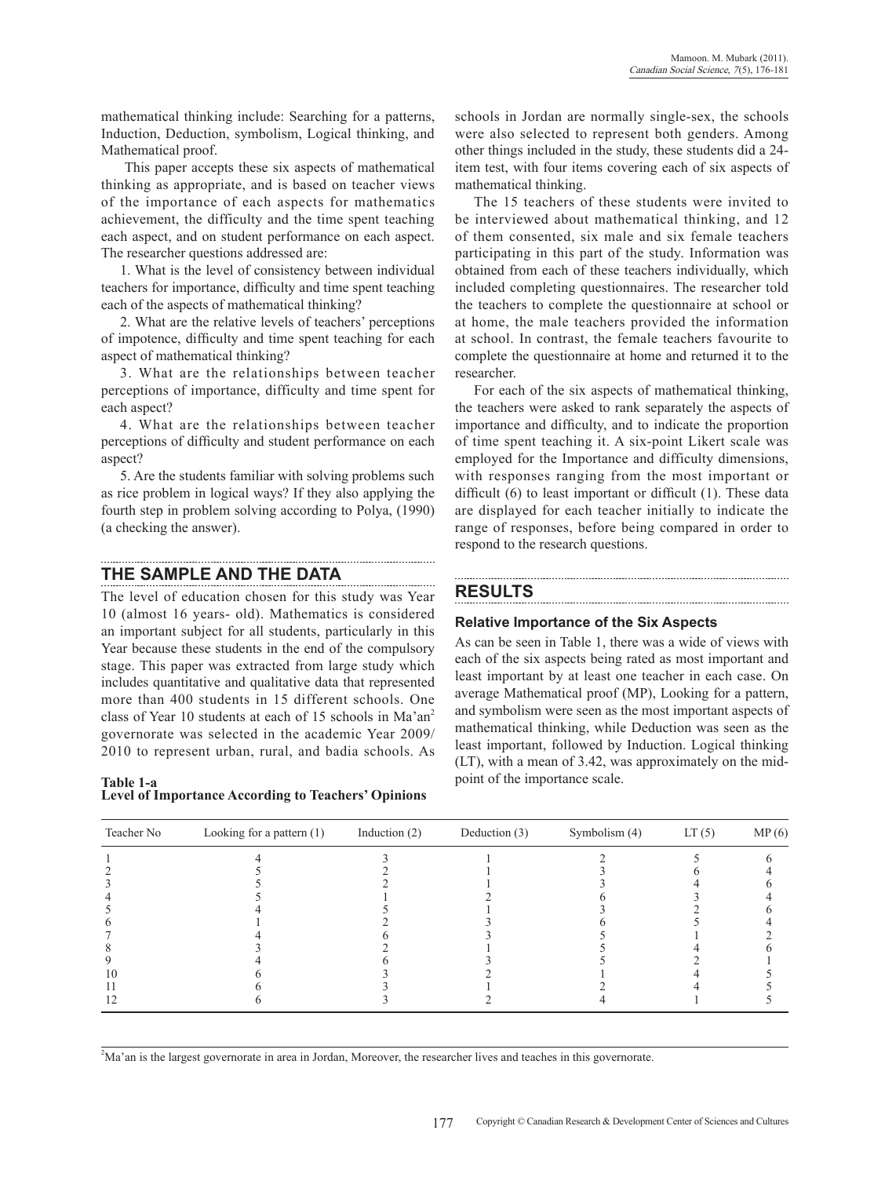mathematical thinking include: Searching for a patterns, Induction, Deduction, symbolism, Logical thinking, and Mathematical proof.

 This paper accepts these six aspects of mathematical thinking as appropriate, and is based on teacher views of the importance of each aspects for mathematics achievement, the difficulty and the time spent teaching each aspect, and on student performance on each aspect. The researcher questions addressed are:

1. What is the level of consistency between individual teachers for importance, difficulty and time spent teaching each of the aspects of mathematical thinking?

2. What are the relative levels of teachers' perceptions of impotence, difficulty and time spent teaching for each aspect of mathematical thinking?

3. What are the relationships between teacher perceptions of importance, difficulty and time spent for each aspect?

4. What are the relationships between teacher perceptions of difficulty and student performance on each aspect?

5. Are the students familiar with solving problems such as rice problem in logical ways? If they also applying the fourth step in problem solving according to Polya, (1990) (a checking the answer).

### **THE SAMPLE AND THE DATA**

The level of education chosen for this study was Year 10 (almost 16 years- old). Mathematics is considered an important subject for all students, particularly in this Year because these students in the end of the compulsory stage. This paper was extracted from large study which includes quantitative and qualitative data that represented more than 400 students in 15 different schools. One class of Year 10 students at each of 15 schools in Ma'an<sup>2</sup> governorate was selected in the academic Year 2009/ 2010 to represent urban, rural, and badia schools. As

**Table 1-a Level of Importance According to Teachers' Opinions**

schools in Jordan are normally single-sex, the schools were also selected to represent both genders. Among other things included in the study, these students did a 24 item test, with four items covering each of six aspects of mathematical thinking.

The 15 teachers of these students were invited to be interviewed about mathematical thinking, and 12 of them consented, six male and six female teachers participating in this part of the study. Information was obtained from each of these teachers individually, which included completing questionnaires. The researcher told the teachers to complete the questionnaire at school or at home, the male teachers provided the information at school. In contrast, the female teachers favourite to complete the questionnaire at home and returned it to the researcher.

For each of the six aspects of mathematical thinking, the teachers were asked to rank separately the aspects of importance and difficulty, and to indicate the proportion of time spent teaching it. A six-point Likert scale was employed for the Importance and difficulty dimensions, with responses ranging from the most important or difficult (6) to least important or difficult (1). These data are displayed for each teacher initially to indicate the range of responses, before being compared in order to respond to the research questions.

# **RESULTS**

### **Relative importance of the six aspects**

As can be seen in Table 1, there was a wide of views with each of the six aspects being rated as most important and least important by at least one teacher in each case. On average Mathematical proof (MP), Looking for a pattern, and symbolism were seen as the most important aspects of mathematical thinking, while Deduction was seen as the least important, followed by Induction. Logical thinking (LT), with a mean of 3.42, was approximately on the midpoint of the importance scale.

| Teacher No | Looking for a pattern $(1)$ | Induction $(2)$ | Deduction (3) | Symbolism (4) | LT(5) | MP(6) |
|------------|-----------------------------|-----------------|---------------|---------------|-------|-------|
|            |                             |                 |               |               |       |       |
|            |                             |                 |               |               |       |       |
|            |                             |                 |               |               |       |       |
|            |                             |                 |               |               |       |       |
|            |                             |                 |               |               |       |       |
|            |                             |                 |               |               |       |       |
|            |                             |                 |               |               |       |       |
|            |                             |                 |               |               |       |       |
|            |                             |                 |               |               |       |       |
|            |                             |                 |               |               |       |       |
|            |                             |                 |               |               |       |       |
|            |                             |                 |               |               |       |       |

2 Ma'an is the largest governorate in area in Jordan, Moreover, the researcher lives and teaches in this governorate.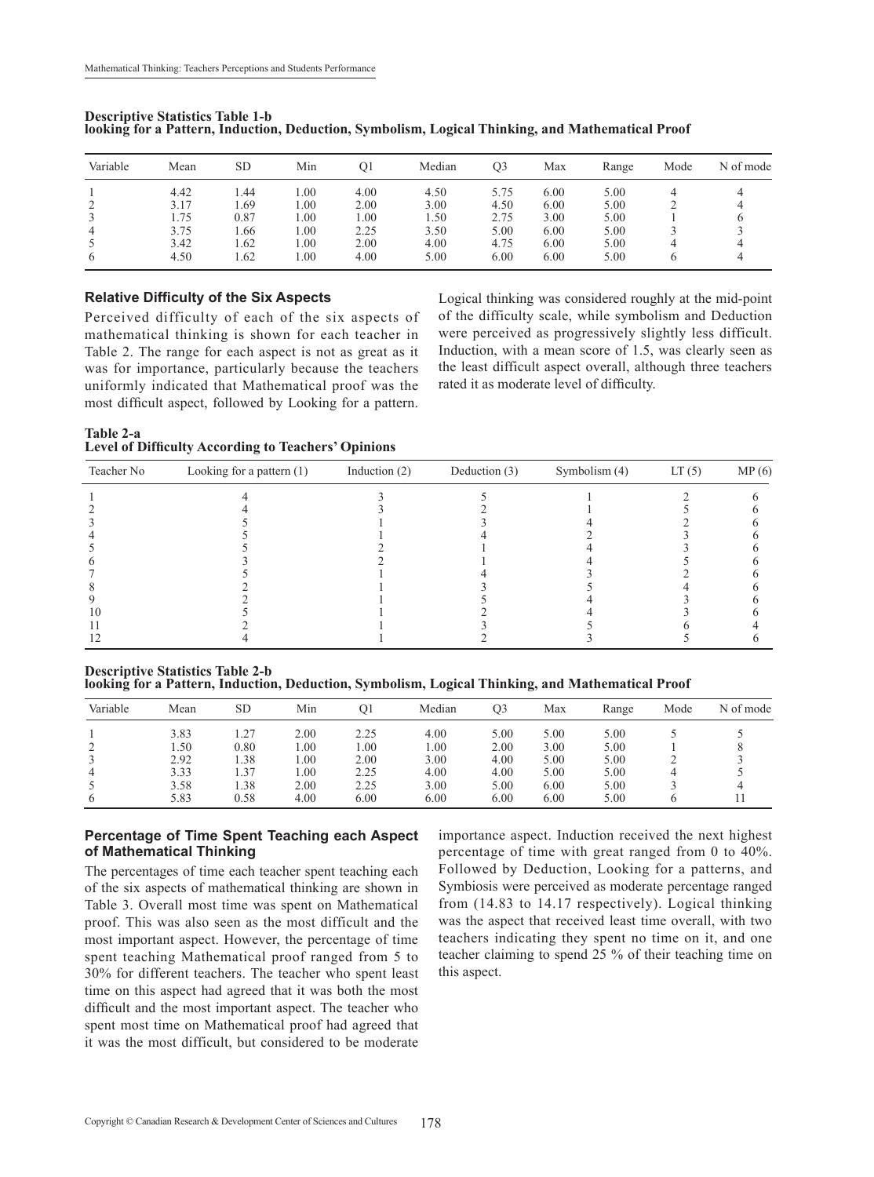| Variable | Mean | <b>SD</b> | Min  | O1   | Median | O3   | Max  | Range | Mode | N of mode |
|----------|------|-----------|------|------|--------|------|------|-------|------|-----------|
|          | 4.42 | .44       | 00.  | 4.00 | 4.50   | 5.75 | 6.00 | 5.00  |      |           |
|          | 3.17 | .69       | 00.1 | 2.00 | 3.00   | 4.50 | 6.00 | 5.00  |      |           |
|          | 1.75 | 0.87      | 00.  | 1.00 | 1.50   | 2.75 | 3.00 | 5.00  |      |           |
|          | 3.75 | .66       | 00.1 | 2.25 | 3.50   | 5.00 | 6.00 | 5.00  |      |           |
|          | 3.42 | 1.62      | 00.  | 2.00 | 4.00   | 4.75 | 6.00 | 5.00  |      |           |
|          | 4.50 | 1.62      | .00  | 4.00 | 5.00   | 6.00 | 6.00 | 5.00  |      |           |

**Descriptive Statistics Table 1-b looking for a pattern, Induction, Deduction, Symbolism, Logical thinking, and Mathematical proof**

#### **Relative difficulty of the six aspects**

Perceived difficulty of each of the six aspects of mathematical thinking is shown for each teacher in Table 2. The range for each aspect is not as great as it was for importance, particularly because the teachers uniformly indicated that Mathematical proof was the most difficult aspect, followed by Looking for a pattern.

Logical thinking was considered roughly at the mid-point of the difficulty scale, while symbolism and Deduction were perceived as progressively slightly less difficult. Induction, with a mean score of 1.5, was clearly seen as the least difficult aspect overall, although three teachers rated it as moderate level of difficulty.

**Table 2-a Level of Difficulty According to Teachers' Opinions**

| Teacher No | Looking for a pattern $(1)$ | Induction $(2)$ | Deduction (3) | Symbolism (4) | LT(5) | MP(6) |
|------------|-----------------------------|-----------------|---------------|---------------|-------|-------|
|            |                             |                 |               |               |       |       |
|            |                             |                 |               |               |       |       |
|            |                             |                 |               |               |       |       |
|            |                             |                 |               |               |       |       |
|            |                             |                 |               |               |       |       |
|            |                             |                 |               |               |       |       |
|            |                             |                 |               |               |       |       |
|            |                             |                 |               |               |       |       |
|            |                             |                 |               |               |       |       |
| l ()       |                             |                 |               |               |       |       |
|            |                             |                 |               |               |       |       |
|            |                             |                 |               |               |       |       |

**Descriptive Statistics Table 2-b**

**looking for a pattern, Induction, Deduction, Symbolism, Logical thinking, and Mathematical proof**

| Variable | Mean | SD   | Min  |      | Median | O3   | Max  | Range | Mode | N of mode |
|----------|------|------|------|------|--------|------|------|-------|------|-----------|
|          | 3.83 | .27  | 2.00 | 2.25 | 4.00   | 5.00 | 5.00 | 5.00  |      |           |
|          | 1.50 | 0.80 | .00  | 1.00 | 1.00   | 2.00 | 3.00 | 5.00  |      |           |
|          | 2.92 | .38  | .00  | 2.00 | 3.00   | 4.00 | 5.00 | 5.00  |      |           |
|          | 3.33 | .37  | .00. | 2.25 | 4.00   | 4.00 | 5.00 | 5.00  |      |           |
|          | 3.58 | .38  | 2.00 | 2.25 | 3.00   | 5.00 | 6.00 | 5.00  |      |           |
|          | 5.83 | 0.58 | 4.00 | 6.00 | 6.00   | 6.00 | 6.00 | 5.00  |      |           |

#### **Percentage of Time Spent Teaching each Aspect of Mathematical Thinking**

The percentages of time each teacher spent teaching each of the six aspects of mathematical thinking are shown in Table 3. Overall most time was spent on Mathematical proof. This was also seen as the most difficult and the most important aspect. However, the percentage of time spent teaching Mathematical proof ranged from 5 to 30% for different teachers. The teacher who spent least time on this aspect had agreed that it was both the most difficult and the most important aspect. The teacher who spent most time on Mathematical proof had agreed that it was the most difficult, but considered to be moderate importance aspect. Induction received the next highest percentage of time with great ranged from 0 to 40%. Followed by Deduction, Looking for a patterns, and Symbiosis were perceived as moderate percentage ranged from (14.83 to 14.17 respectively). Logical thinking was the aspect that received least time overall, with two teachers indicating they spent no time on it, and one teacher claiming to spend 25 % of their teaching time on this aspect.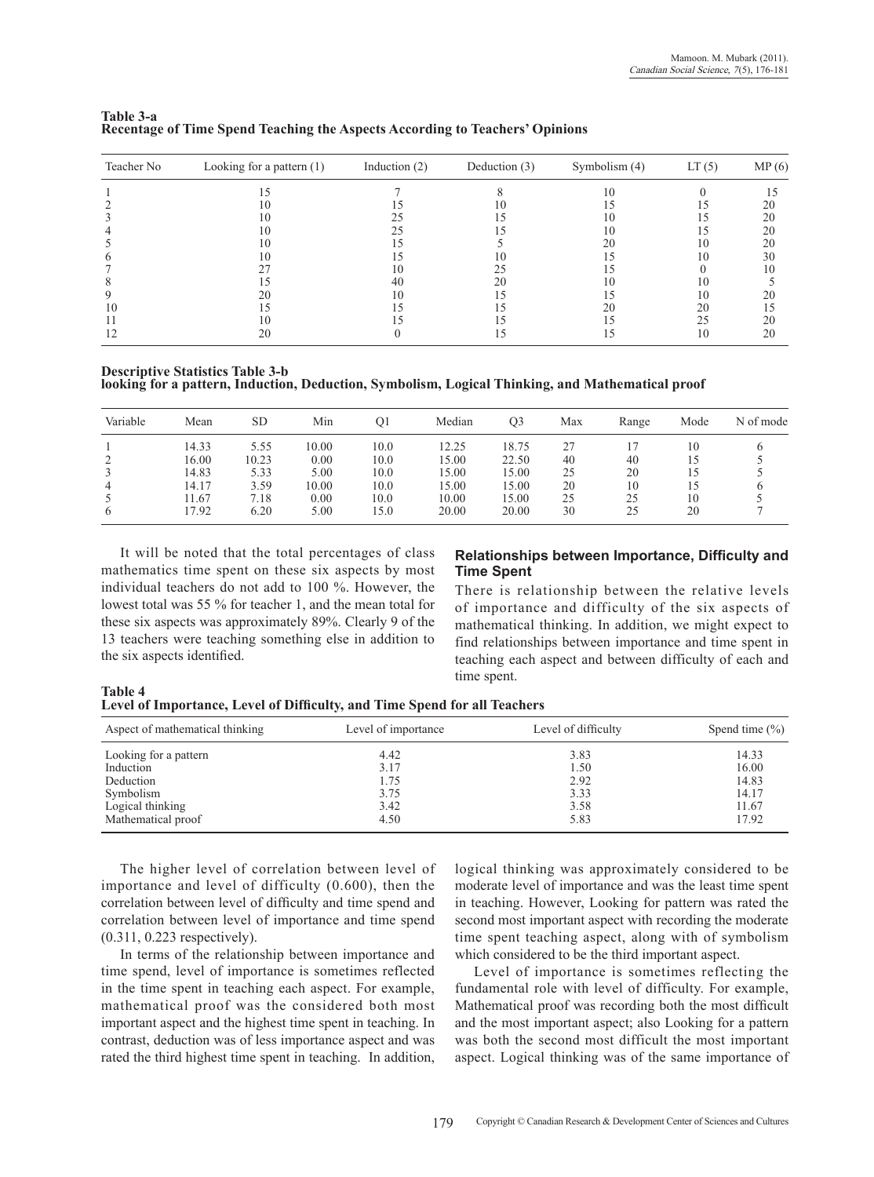| Teacher No | Looking for a pattern $(1)$ | Induction $(2)$ | Deduction $(3)$ | Symbolism (4) | LT(5) | MP(6) |
|------------|-----------------------------|-----------------|-----------------|---------------|-------|-------|
|            |                             |                 |                 | 10            |       |       |
|            | 10                          |                 | $\vert$ ()      |               |       | 20    |
|            | 10                          |                 |                 |               |       | 20    |
|            | 10                          | 25              |                 | 10            |       | 20    |
|            | 10                          |                 |                 | 20            | 10    | 20    |
|            | 10                          |                 | 10              |               | 10    | 30    |
|            |                             | 10              |                 |               |       | 10    |
|            |                             | 40              | 20              | 10            | 10    |       |
|            |                             |                 |                 |               | 10    | 20    |
| 10         |                             |                 |                 | 20            | 20    |       |
|            |                             |                 |                 |               | 25    | 20    |
|            | 20                          |                 |                 |               | 10    | 20    |

#### **Table 3-a Recentage of Time Spend Teaching the Aspects According to Teachers' Opinions**

**Descriptive Statistics Table 3-b looking for a pattern, Induction, Deduction, Symbolism, Logical thinking, and Mathematical proof**

| Variable       | Mean  | <b>SD</b> | Min   | O <sub>1</sub> | Median | Q3    | Max | Range | Mode | N of mode |
|----------------|-------|-----------|-------|----------------|--------|-------|-----|-------|------|-----------|
|                | 14.33 | 5.55      | 10.00 | 10.0           | 12.25  | 18.75 |     |       | 10   |           |
|                | 16.00 | 10.23     | 0.00  | 10.0           | 15.00  | 22.50 | 40  | 40    | 15   |           |
|                | 14.83 | 5.33      | 5.00  | 10.0           | 15.00  | 15.00 | 25  | 20    | 15   |           |
| $\overline{4}$ | 14.17 | 3.59      | 10.00 | 10.0           | 15.00  | 15.00 | 20  | 10    | 15   |           |
|                | 11.67 | 7.18      | 0.00  | 10.0           | 10.00  | 15.00 | 25  | 25    | 10   |           |
|                | 7.92  | 6.20      | 5.00  | 15.0           | 20.00  | 20.00 | 30  | 25    | 20   |           |

It will be noted that the total percentages of class mathematics time spent on these six aspects by most individual teachers do not add to 100 %. However, the lowest total was 55 % for teacher 1, and the mean total for these six aspects was approximately 89%. Clearly 9 of the 13 teachers were teaching something else in addition to the six aspects identified.

#### **Relationships between importance, difficulty and time spent**

There is relationship between the relative levels of importance and difficulty of the six aspects of mathematical thinking. In addition, we might expect to find relationships between importance and time spent in teaching each aspect and between difficulty of each and time spent.

**Table 4 Level of Importance, Level of Difficulty, and Time Spend for all Teachers** 

| Aspect of mathematical thinking | Level of importance | Level of difficulty | Spend time $(\% )$ |
|---------------------------------|---------------------|---------------------|--------------------|
| Looking for a pattern           | 4.42                | 3.83                | 14.33              |
| Induction                       | 3.17                | 1.50                | 16.00              |
| Deduction                       | 1.75                | 2.92                | 14.83              |
| Symbolism                       | 3.75                | 3.33                | 14.17              |
| Logical thinking                | 3.42                | 3.58                | 11.67              |
| Mathematical proof              | 4.50                | 5.83                | 17.92              |

The higher level of correlation between level of importance and level of difficulty (0.600), then the correlation between level of difficulty and time spend and correlation between level of importance and time spend (0.311, 0.223 respectively).

In terms of the relationship between importance and time spend, level of importance is sometimes reflected in the time spent in teaching each aspect. For example, mathematical proof was the considered both most important aspect and the highest time spent in teaching. In contrast, deduction was of less importance aspect and was rated the third highest time spent in teaching. In addition,

logical thinking was approximately considered to be moderate level of importance and was the least time spent in teaching. However, Looking for pattern was rated the second most important aspect with recording the moderate time spent teaching aspect, along with of symbolism which considered to be the third important aspect.

Level of importance is sometimes reflecting the fundamental role with level of difficulty. For example, Mathematical proof was recording both the most difficult and the most important aspect; also Looking for a pattern was both the second most difficult the most important aspect. Logical thinking was of the same importance of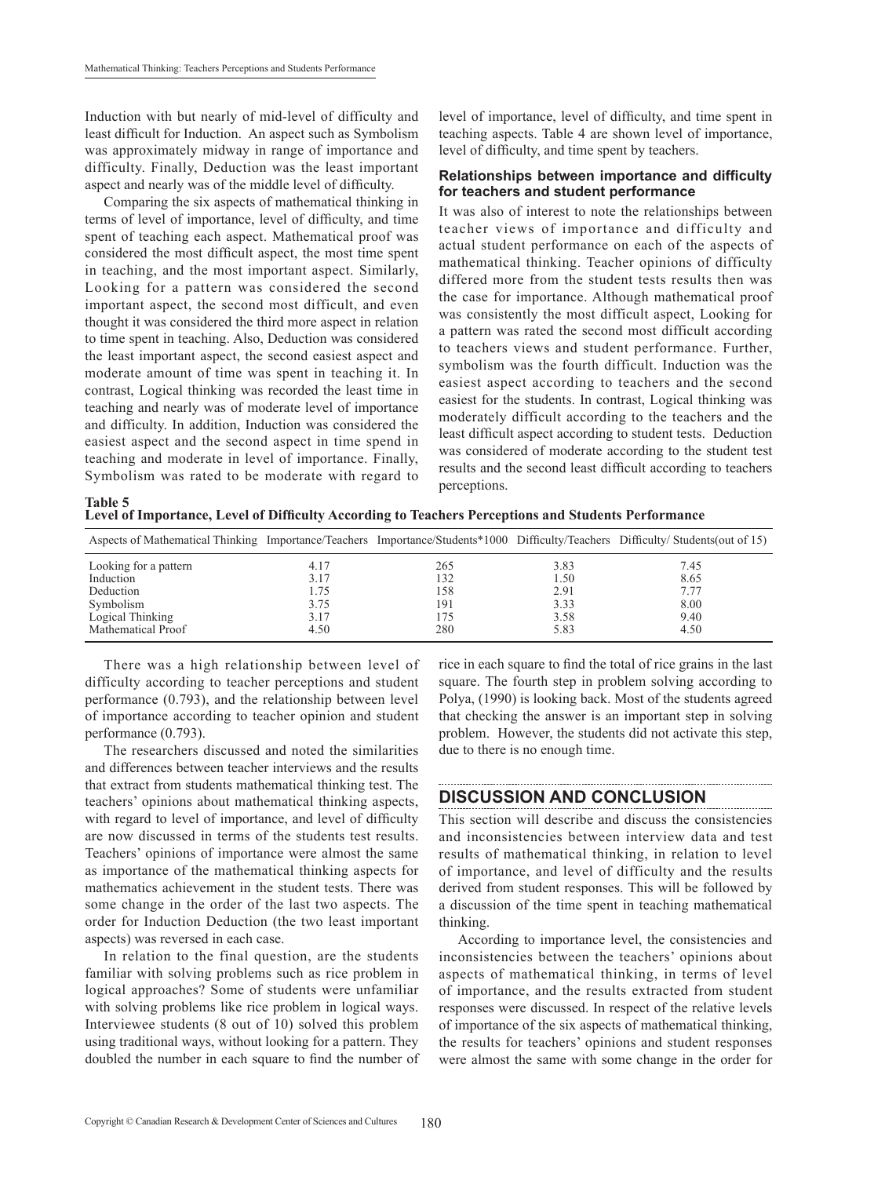Induction with but nearly of mid-level of difficulty and least difficult for Induction. An aspect such as Symbolism was approximately midway in range of importance and difficulty. Finally, Deduction was the least important aspect and nearly was of the middle level of difficulty.

Comparing the six aspects of mathematical thinking in terms of level of importance, level of difficulty, and time spent of teaching each aspect. Mathematical proof was considered the most difficult aspect, the most time spent in teaching, and the most important aspect. Similarly, Looking for a pattern was considered the second important aspect, the second most difficult, and even thought it was considered the third more aspect in relation to time spent in teaching. Also, Deduction was considered the least important aspect, the second easiest aspect and moderate amount of time was spent in teaching it. In contrast, Logical thinking was recorded the least time in teaching and nearly was of moderate level of importance and difficulty. In addition, Induction was considered the easiest aspect and the second aspect in time spend in teaching and moderate in level of importance. Finally, Symbolism was rated to be moderate with regard to

**Table 5** 

level of importance, level of difficulty, and time spent in teaching aspects. Table 4 are shown level of importance, level of difficulty, and time spent by teachers.

#### **Relationships between importance and difficulty for teachers and student performance**

It was also of interest to note the relationships between teacher views of importance and difficulty and actual student performance on each of the aspects of mathematical thinking. Teacher opinions of difficulty differed more from the student tests results then was the case for importance. Although mathematical proof was consistently the most difficult aspect, Looking for a pattern was rated the second most difficult according to teachers views and student performance. Further, symbolism was the fourth difficult. Induction was the easiest aspect according to teachers and the second easiest for the students. In contrast, Logical thinking was moderately difficult according to the teachers and the least difficult aspect according to student tests. Deduction was considered of moderate according to the student test results and the second least difficult according to teachers perceptions.

**Level of Importance, Level of Difficulty According to Teachers Perceptions and Students Performance** 

| Aspects of Mathematical Thinking Importance/Teachers Importance/Students*1000 Difficulty/Teachers Difficulty/Students(out of 15) |      |     |      |      |
|----------------------------------------------------------------------------------------------------------------------------------|------|-----|------|------|
| Looking for a pattern                                                                                                            | 4.17 | 265 | 3.83 | 7.45 |
| Induction                                                                                                                        | 3.17 | 132 | 1.50 | 8.65 |
| Deduction                                                                                                                        | 1.75 | 158 | 2.91 | 7.77 |
| Symbolism                                                                                                                        | 3.75 | 191 | 3.33 | 8.00 |
| Logical Thinking                                                                                                                 | 3.17 | 175 | 3.58 | 9.40 |
| Mathematical Proof                                                                                                               | 4.50 | 280 | 5.83 | 4.50 |

There was a high relationship between level of difficulty according to teacher perceptions and student performance (0.793), and the relationship between level of importance according to teacher opinion and student performance (0.793).

The researchers discussed and noted the similarities and differences between teacher interviews and the results that extract from students mathematical thinking test. The teachers' opinions about mathematical thinking aspects, with regard to level of importance, and level of difficulty are now discussed in terms of the students test results. Teachers' opinions of importance were almost the same as importance of the mathematical thinking aspects for mathematics achievement in the student tests. There was some change in the order of the last two aspects. The order for Induction Deduction (the two least important aspects) was reversed in each case.

In relation to the final question, are the students familiar with solving problems such as rice problem in logical approaches? Some of students were unfamiliar with solving problems like rice problem in logical ways. Interviewee students (8 out of 10) solved this problem using traditional ways, without looking for a pattern. They doubled the number in each square to find the number of rice in each square to find the total of rice grains in the last square. The fourth step in problem solving according to Polya, (1990) is looking back. Most of the students agreed that checking the answer is an important step in solving problem. However, the students did not activate this step, due to there is no enough time.

#### **DISCUSSION AND CONCLUSION**

This section will describe and discuss the consistencies and inconsistencies between interview data and test results of mathematical thinking, in relation to level of importance, and level of difficulty and the results derived from student responses. This will be followed by a discussion of the time spent in teaching mathematical thinking.

According to importance level, the consistencies and inconsistencies between the teachers' opinions about aspects of mathematical thinking, in terms of level of importance, and the results extracted from student responses were discussed. In respect of the relative levels of importance of the six aspects of mathematical thinking, the results for teachers' opinions and student responses were almost the same with some change in the order for